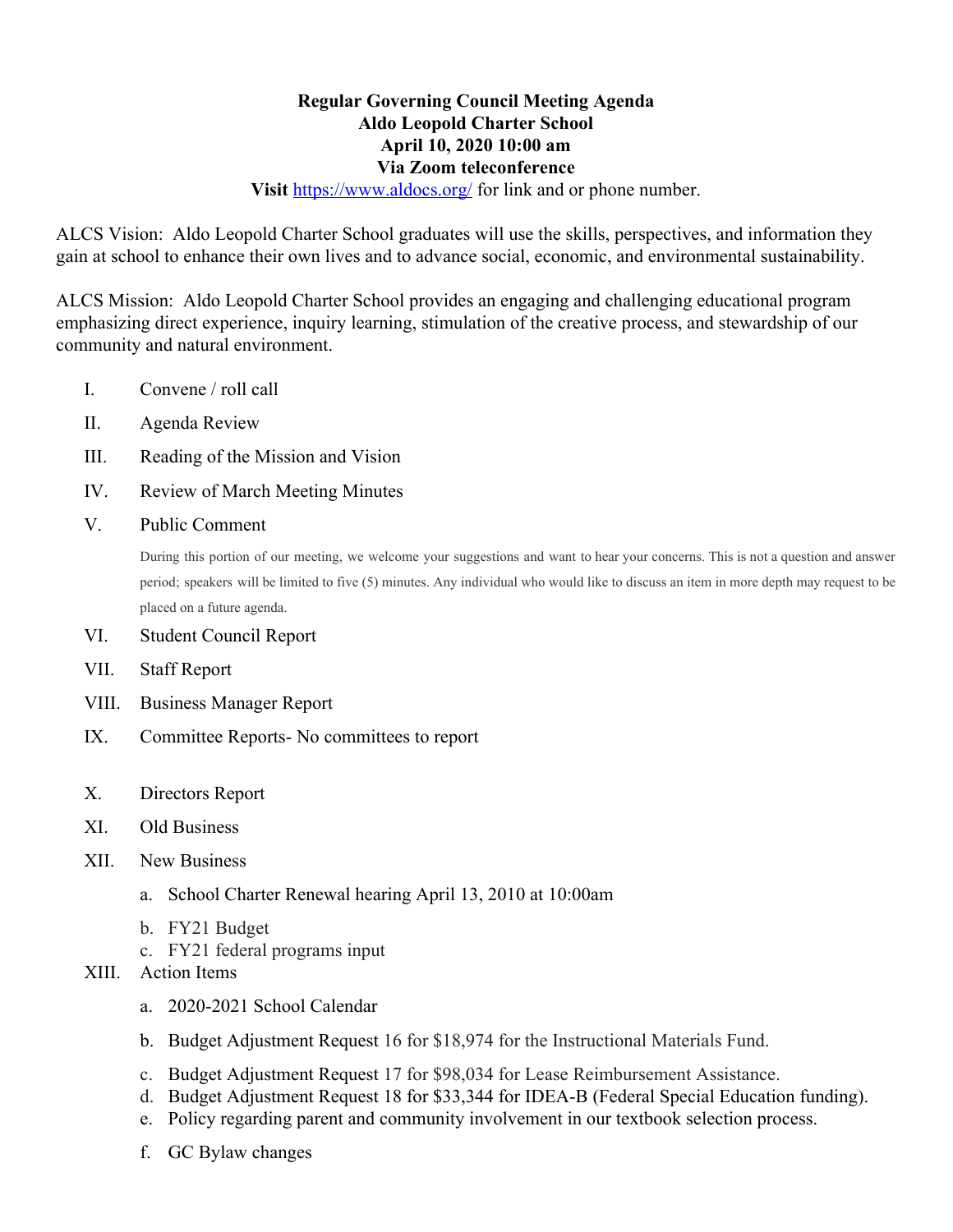## **Regular Governing Council Meeting Agenda Aldo Leopold Charter School April 10, 2020 10:00 am Via Zoom teleconference**

**Visit** <https://www.aldocs.org/>for link and or phone number.

ALCS Vision: Aldo Leopold Charter School graduates will use the skills, perspectives, and information they gain at school to enhance their own lives and to advance social, economic, and environmental sustainability.

ALCS Mission: Aldo Leopold Charter School provides an engaging and challenging educational program emphasizing direct experience, inquiry learning, stimulation of the creative process, and stewardship of our community and natural environment.

- I. Convene / roll call
- II. Agenda Review
- III. Reading of the Mission and Vision
- IV. Review of March Meeting Minutes
- V. Public Comment

During this portion of our meeting, we welcome your suggestions and want to hear your concerns. This is not a question and answer period; speakers will be limited to five (5) minutes. Any individual who would like to discuss an item in more depth may request to be placed on a future agenda.

- VI. Student Council Report
- VII. Staff Report
- VIII. Business Manager Report
- IX. Committee Reports- No committees to report
- X. Directors Report
- XI. Old Business
- XII. New Business
	- a. School Charter Renewal hearing April 13, 2010 at 10:00am
	- b. FY21 Budget
	- c. FY21 federal programs input
- XIII. Action Items
	- a. 2020-2021 School Calendar
	- b. Budget Adjustment Request 16 for \$18,974 for the Instructional Materials Fund.
	- c. Budget Adjustment Request 17 for \$98,034 for Lease Reimbursement Assistance.
	- d. Budget Adjustment Request 18 for \$33,344 for IDEA-B (Federal Special Education funding).
	- e. Policy regarding parent and community involvement in our textbook selection process.
	- f. GC Bylaw changes